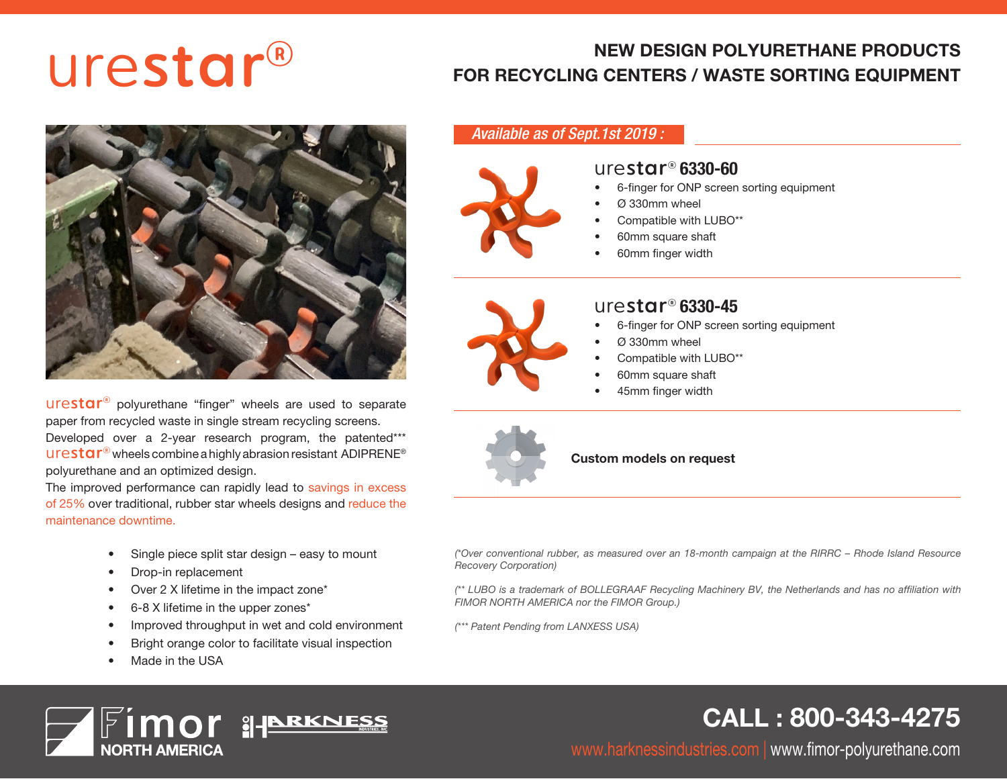# ®

# NEW DESIGN POLYURETHANE PRODUCTS<br>FOR RECYCLING CENTERS / WASTE SORTING EQUIPMENT



urestar<sup>®</sup> polyurethane "finger" wheels are used to separate paper from recycled waste in single stream recycling screens. Developed over a 2-year research program, the patented\*\*\*

urestar<sup>®</sup> wheels combine a highly abrasion resistant ADIPRENE<sup>®</sup> polyurethane and an optimized design.

The improved performance can rapidly lead to savings in excess of 25% over traditional, rubber star wheels designs and reduce the maintenance downtime.

- Single piece split star design easy to mount
- Drop-in replacement
- Over 2 X lifetime in the impact zone\*
- 6-8 X lifetime in the upper zones\*
- Improved throughput in wet and cold environment
- Bright orange color to facilitate visual inspection
- Made in the USA



#### *Available as of Sept.1st 2019 :*



## urestar® 6330-60

- 6-finger for ONP screen sorting equipment
- Ø 330mm wheel
- Compatible with LUBO\*\*
- 60mm square shaft
- 60mm finger width



#### urestar® 6330-45

- 6-finger for ONP screen sorting equipment
- Ø 330mm wheel
- Compatible with LUBO\*\*
- 60mm square shaft
- 45mm finger width



Custom models on request

*(\*Over conventional rubber, as measured over an 18-month campaign at the RIRRC – Rhode Island Resource Recovery Corporation)*

*(\*\* LUBO is a trademark of BOLLEGRAAF Recycling Machinery BV, the Netherlands and has no affiliation with FIMOR NORTH AMERICA nor the FIMOR Group.)*

*(\*\*\* Patent Pending from LANXESS USA)*

# CALL : 800-343-4275

www.harknessindustries.com | www.fimor-polyurethane.com